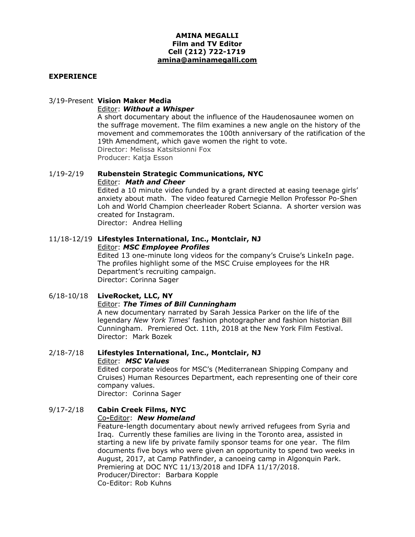### **AMINA MEGALLI Film and TV Editor Cell (212) 722-1719 amina@aminamegalli.com**

### **EXPERIENCE**

### 3/19-Present **Vision Maker Media**

#### Editor: *Without a Whisper*

A short documentary about the influence of the Haudenosaunee women on the suffrage movement. The film examines a new angle on the history of the movement and commemorates the 100th anniversary of the ratification of the 19th Amendment, which gave women the right to vote. Director: Melissa Katsitsionni Fox Producer: Katja Esson

#### 1/19-2/19 **Rubenstein Strategic Communications, NYC** Editor: *Math and Cheer*

Edited a 10 minute video funded by a grant directed at easing teenage girls' anxiety about math. The video featured Carnegie Mellon Professor Po-Shen Loh and World Champion cheerleader Robert Scianna. A shorter version was created for Instagram. Director: Andrea Helling

#### 11/18-12/19 **Lifestyles International, Inc., Montclair, NJ** Editor: *MSC Employee Profiles*

Edited 13 one-minute long videos for the company's Cruise's LinkeIn page. The profiles highlight some of the MSC Cruise employees for the HR Department's recruiting campaign. Director: Corinna Sager

# 6/18-10/18 **LiveRocket, LLC, NY**

### Editor: *The Times of Bill Cunningham*

A new documentary narrated by Sarah Jessica Parker on the life of the legendary *New York Times*' fashion photographer and fashion historian Bill Cunningham. Premiered Oct. 11th, 2018 at the New York Film Festival. Director: Mark Bozek

#### 2/18-7/18 **Lifestyles International, Inc., Montclair, NJ** Editor: *MSC Values*

Edited corporate videos for MSC's (Mediterranean Shipping Company and Cruises) Human Resources Department, each representing one of their core company values.

Director: Corinna Sager

# 9/17-2/18 **Cabin Creek Films, NYC**

# Co**-**Editor: *New Homeland*

Feature-length documentary about newly arrived refugees from Syria and Iraq. Currently these families are living in the Toronto area, assisted in starting a new life by private family sponsor teams for one year. The film documents five boys who were given an opportunity to spend two weeks in August, 2017, at Camp Pathfinder, a canoeing camp in Algonquin Park. Premiering at DOC NYC 11/13/2018 and IDFA 11/17/2018. Producer/Director: Barbara Kopple Co-Editor: Rob Kuhns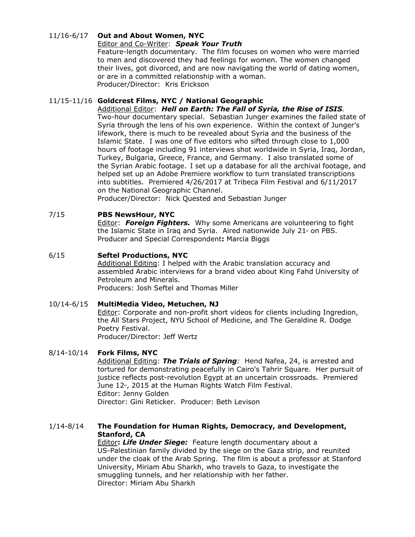### 11/16-6/17 **Out and About Women, NYC**

### Editor and Co-Writer: *Speak Your Truth*

Feature-length documentary. The film focuses on women who were married to men and discovered they had feelings for women. The women changed their lives, got divorced, and are now navigating the world of dating women, or are in a committed relationship with a woman. Producer/Director: Kris Erickson

### 11/15-11/16 **Goldcrest Films, NYC / National Geographic**

Additional Editor: *Hell on Earth: The Fall of Syria, the Rise of ISIS.* Two-hour documentary special. Sebastian Junger examines the failed state of Syria through the lens of his own experience. Within the context of Junger's lifework, there is much to be revealed about Syria and the business of the Islamic State. I was one of five editors who sifted through close to 1,000 hours of footage including 91 interviews shot worldwide in Syria, Iraq, Jordan, Turkey, Bulgaria, Greece, France, and Germany. I also translated some of the Syrian Arabic footage. I set up a database for all the archival footage, and helped set up an Adobe Premiere workflow to turn translated transcriptions into subtitles. Premiered 4/26/2017 at Tribeca Film Festival and 6/11/2017 on the National Geographic Channel.

Producer/Director: Nick Quested and Sebastian Junger

### 7/15 **PBS NewsHour, NYC**

Editor: *Foreign Fighters.* Why some Americans are volunteering to fight the Islamic State in Iraq and Syria. Aired nationwide July 21 $<sub>*</sub>$  on PBS.</sub> Producer and Special Correspondent**:** Marcia Biggs

### 6/15 **Seftel Productions, NYC**

Additional Editing: I helped with the Arabic translation accuracy and assembled Arabic interviews for a brand video about King Fahd University of Petroleum and Minerals.

Producers: Josh Seftel and Thomas Miller

### 10/14-6/15 **MultiMedia Video, Metuchen, NJ**

Editor: Corporate and non-profit short videos for clients including Ingredion, the All Stars Project, NYU School of Medicine, and The Geraldine R. Dodge Poetry Festival. Producer/Director: Jeff Wertz

### 8/14-10/14 **Fork Films, NYC**

Additional Editing: *The Trials of Spring:* Hend Nafea, 24, is arrested and tortured for demonstrating peacefully in Cairo's Tahrir Square. Her pursuit of justice reflects post-revolution Egypt at an uncertain crossroads. Premiered June 12<sup>th</sup>, 2015 at the Human Rights Watch Film Festival. Editor: Jenny Golden Director: Gini Reticker. Producer: Beth Levison

### 1/14-8/14 **The Foundation for Human Rights, Democracy, and Development, Stanford, CA**

Editor**:** *Life Under Siege:* Feature length documentary about a US-Palestinian family divided by the siege on the Gaza strip, and reunited under the cloak of the Arab Spring. The film is about a professor at Stanford University, Miriam Abu Sharkh, who travels to Gaza, to investigate the smuggling tunnels, and her relationship with her father. Director: Miriam Abu Sharkh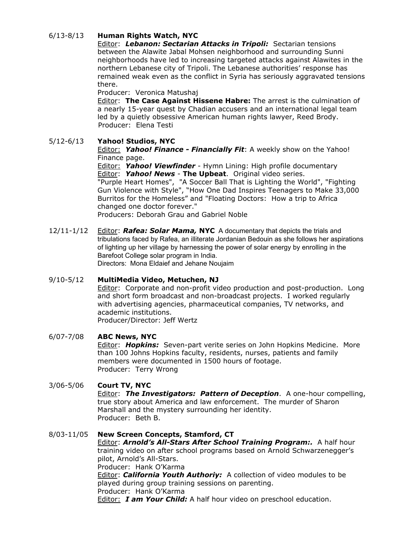# 6/13-8/13 **Human Rights Watch, NYC**

Editor: *Lebanon: Sectarian Attacks in Tripoli:* Sectarian tensions between the Alawite Jabal Mohsen neighborhood and surrounding Sunni neighborhoods have led to increasing targeted attacks against Alawites in the northern [Lebanese](http://www.hrw.org/middle-eastn-africa/lebanon) city of Tripoli. The Lebanese authorities' response has remained weak even as the conflict in Syria has seriously aggravated tensions there.

Producer: Veronica Matushaj

Editor: **The Case Against Hissene Habre:** The arrest is the culmination of a nearly 15-year quest by Chadian accusers and an international legal team led by a quietly obsessive American [human](http://www.theguardian.com/law/human-rights) rights lawyer, Reed Brody. Producer: Elena Testi

### 5/12-6/13 **Yahoo! Studios, NYC**

Editor: *Yahoo! Finance - Financially Fit*: A weekly show on the Yahoo! Finance page.

Editor: *Yahoo! Viewfinder* - Hymn Lining: High profile documentary Editor: *Yahoo! News* - **The Upbeat**. Original video series. "Purple Heart Homes", "A Soccer Ball That is Lighting the World", "Fighting Gun Violence with Style", "How One Dad Inspires Teenagers to Make 33,000 Burritos for the Homeless" and "Floating Doctors: How a trip to Africa changed one doctor forever." Producers: Deborah Grau and Gabriel Noble

12/11-1/12 Editor: *Rafea: Solar Mama,* **NYC** A documentary that depicts the trials and tribulations faced by Rafea, an illiterate Jordanian Bedouin as she follows her aspirations of lighting up her village by harnessing the power of solar energy by enrolling in the Barefoot College solar program in India. Directors: Mona Eldaief and Jehane Noujaim

### 9/10-5/12 **MultiMedia Video, Metuchen, NJ**

Editor: Corporate and non-profit video production and post-production. Long and short form broadcast and non-broadcast projects. I worked regularly with advertising agencies, pharmaceutical companies, TV networks, and academic institutions. Producer/Director: Jeff Wertz

### 6/07-7/08 **ABC News, NYC**

Editor: *Hopkins:* Seven-part verite series on John Hopkins Medicine. More than 100 Johns Hopkins faculty, residents, nurses, patients and family members were documented in 1500 hours of footage. Producer: Terry Wrong

# 3/06-5/06 **Court TV, NYC**

Editor: *The Investigators: Pattern of Deception*. A one-hour compelling, true story about America and law enforcement. The murder of Sharon Marshall and the mystery surrounding her identity. Producer: Beth B.

#### 8/03-11/05 **New Screen Concepts, Stamford, CT** Editor: *Arnold's All-Stars After School Training Program:.* A half hour training video on after school programs based on Arnold Schwarzenegger's pilot, Arnold's All-Stars. Producer: Hank O'Karma Editor: *California Youth Authoriy:* A collection of video modules to be played during group training sessions on parenting. Producer: Hank O'Karma Editor: *I am Your Child:* A half hour video on preschool education.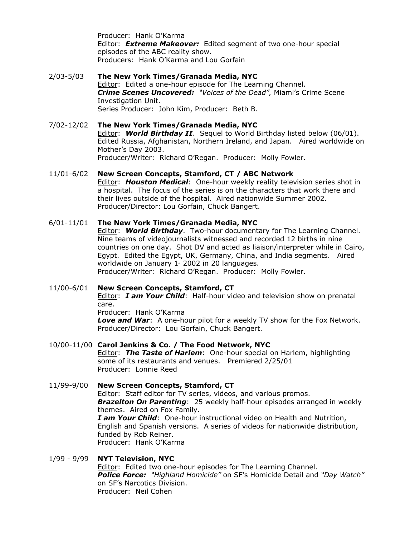Producer: Hank O'Karma Editor: *Extreme Makeover:* Edited segment of two one-hour special episodes of the ABC reality show. Producers: Hank O'Karma and Lou Gorfain

- 2/03-5/03 **The New York Times/Granada Media, NYC** Editor: Edited a one-hour episode for The Learning Channel. *Crime Scenes Uncovered: "Voices of the Dead",* Miami's Crime Scene Investigation Unit. Series Producer: John Kim, Producer: Beth B.
- 7/02-12/02 **The New York Times/Granada Media, NYC** Editor: *World Birthday II*. Sequel to World Birthday listed below (06/01). Edited Russia, Afghanistan, Northern Ireland, and Japan. Aired worldwide on Mother's Day 2003. Producer/Writer: Richard O'Regan. Producer: Molly Fowler.
- 11/01-6/02 **New Screen Concepts, Stamford, CT / ABC Network** Editor: *Houston Medical*: One-hour weekly reality television series shot in a hospital. The focus of the series is on the characters that work there and their lives outside of the hospital. Aired nationwide Summer 2002. Producer/Director: Lou Gorfain, Chuck Bangert.
- 6/01-11/01 **The New York Times/Granada Media, NYC** Editor: *World Birthday*. Two-hour documentary for The Learning Channel. Nine teams of videojournalists witnessed and recorded 12 births in nine countries on one day. Shot DV and acted as liaison/interpreter while in Cairo, Egypt. Edited the Egypt, UK, Germany, China, and India segments. Aired worldwide on January  $1*$  2002 in 20 languages. Producer/Writer: Richard O'Regan. Producer: Molly Fowler.

11/00-6/01 **New Screen Concepts, Stamford, CT** Editor: *I am Your Child*: Half-hour video and television show on prenatal care. Producer: Hank O'Karma

*Love and War*: A one-hour pilot for a weekly TV show for the Fox Network. Producer/Director: Lou Gorfain, Chuck Bangert.

10/00-11/00 **Carol Jenkins & Co. / The Food Network, NYC** Editor: *The Taste of Harlem*: One-hour special on Harlem, highlighting some of its restaurants and venues. Premiered 2/25/01 Producer: Lonnie Reed

11/99-9/00 **New Screen Concepts, Stamford, CT** Editor: Staff editor for TV series, videos, and various promos. *Brazelton On Parenting*: 25 weekly half-hour episodes arranged in weekly themes. Aired on Fox Family. *I am Your Child*: One-hour instructional video on Health and Nutrition, English and Spanish versions. A series of videos for nationwide distribution, funded by Rob Reiner. Producer: Hank O'Karma

1/99 - 9/99 **NYT Television, NYC** Editor: Edited two one-hour episodes for The Learning Channel. *Police Force: "Highland Homicide"* on SF's Homicide Detail and *"Day Watch"* on SF's Narcotics Division. Producer: Neil Cohen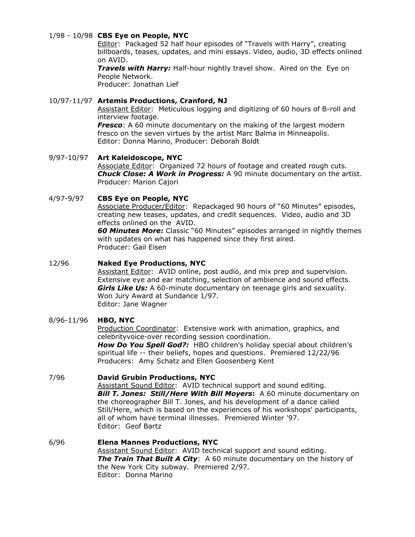### 1/98 - 10/98 **CBS Eye on People, NYC**

Editor: Packaged 52 half hour episodes of "Travels with Harry", creating billboards, teases, updates, and mini essays. Video, audio, 3D effects onlined on AVID.

*Travels with Harry:* Half-hour nightly travel show. Aired on the Eye on People Network.

Producer: Jonathan Lief

### 10/97-11/97 **Artemis Productions, Cranford, NJ**

Assistant Editor: Meticulous logging and digitizing of 60 hours of B-roll and interview footage.

*Fresco*: A 60 minute documentary on the making of the largest modern fresco on the seven virtues by the artist Marc Balma in Minneapolis. Editor: Donna Marino, Producer: Deborah Boldt

### 9/97-10/97 **Art Kaleidoscope, NYC** Associate Editor: Organized 72 hours of footage and created rough cuts. *Chuck Close: A Work in Progress:* A 90 minute documentary on the artist. Producer: Marion Cajori

### 4/97-9/97 **CBS Eye on People, NYC**

Associate Producer/Editor: Repackaged 90 hours of "60 Minutes" episodes, creating new teases, updates, and credit sequences. Video, audio and 3D effects onlined on the AVID.

*60 Minutes More:* Classic "60 Minutes" episodes arranged in nightly themes with updates on what has happened since they first aired. Producer: Gail Eisen

### 12/96 **Naked Eye Productions, NYC**

Assistant Editor: AVID online, post audio, and mix prep and supervision. Extensive eye and ear matching, selection of ambience and sound effects. *Girls Like Us:* A 60-minute documentary on teenage girls and sexuality. Won Jury Award at Sundance 1/97. Editor: Jane Wagner

### 8/96-11/96 **HBO, NYC**

Production Coordinator: Extensive work with animation, graphics, and celebrityvoice-over recording session coordination. *How Do You Spell God?:* HBO children's holiday special about children's spiritual life -- their beliefs, hopes and questions. Premiered 12/22/96 Producers: Amy Schatz and Ellen Goosenberg Kent

### 7/96 **David Grubin Productions, NYC**

Assistant Sound Editor: AVID technical support and sound editing. *Bill T. Jones: Still/Here With Bill Moyers***:** A 60 minute documentary on the choreographer Bill T. Jones, and his development of a dance called Still/Here, which is based on the experiences of his workshops' participants, all of whom have terminal illnesses. Premiered Winter '97. Editor: Geof Bartz

### 6/96 **Elena Mannes Productions, NYC**

Assistant Sound Editor: AVID technical support and sound editing. *The Train That Built A City*: A 60 minute documentary on the history of the New York City subway. Premiered 2/97. Editor: Donna Marino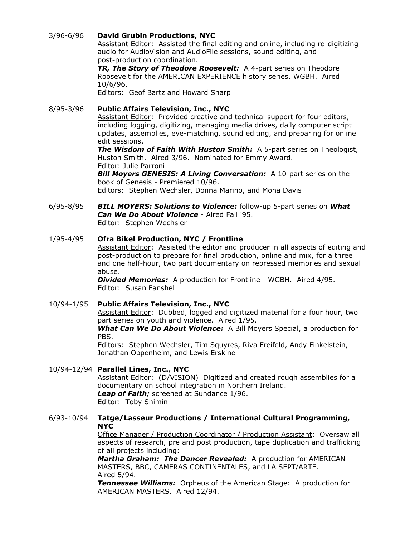### 3/96-6/96 **David Grubin Productions, NYC**

Assistant Editor: Assisted the final editing and online, including re-digitizing audio for AudioVision and AudioFile sessions, sound editing, and post-production coordination.

*TR, The Story of Theodore Roosevelt:* A 4-part series on Theodore Roosevelt for the AMERICAN EXPERIENCE history series, WGBH. Aired 10/6/96.

Editors: Geof Bartz and Howard Sharp

#### 8/95-3/96 **Public Affairs Television, Inc., NYC** Assistant Editor: Provided creative and technical support for four editors, including logging, digitizing, managing media drives, daily computer script updates, assemblies, eye-matching, sound editing, and preparing for online edit sessions.

*The Wisdom of Faith With Huston Smith:* A 5-part series on Theologist, Huston Smith. Aired 3/96. Nominated for Emmy Award. Editor: Julie Parroni

*Bill Moyers GENESIS: A Living Conversation:* A 10-part series on the book of Genesis - Premiered 10/96.

Editors: Stephen Wechsler, Donna Marino, and Mona Davis

6/95-8/95 *BILL MOYERS: Solutions to Violence:* follow-up 5-part series on *What Can We Do About Violence* - Aired Fall '95. Editor: Stephen Wechsler

# 1/95-4/95 **Ofra Bikel Production, NYC / Frontline**

Assistant Editor: Assisted the editor and producer in all aspects of editing and post-production to prepare for final production, online and mix, for a three and one half-hour, two part documentary on repressed memories and sexual abuse.

*Divided Memories:* A production for Frontline - WGBH. Aired 4/95. Editor: Susan Fanshel

# 10/94-1/95 **Public Affairs Television, Inc., NYC**

Assistant Editor: Dubbed, logged and digitized material for a four hour, two part series on youth and violence. Aired 1/95.

*What Can We Do About Violence:* A Bill Moyers Special, a production for PBS.

Editors: Stephen Wechsler, Tim Squyres, Riva Freifeld, Andy Finkelstein, Jonathan Oppenheim, and Lewis Erskine

# 10/94-12/94 **Parallel Lines, Inc., NYC**

Assistant Editor: (D/VISION) Digitized and created rough assemblies for a documentary on school integration in Northern Ireland. *Leap of Faith;* screened at Sundance 1/96. Editor: Toby Shimin

### 6/93-10/94 **Tatge/Lasseur Productions / International Cultural Programming, NYC**

Office Manager / Production Coordinator / Production Assistant: Oversaw all aspects of research, pre and post production, tape duplication and trafficking of all projects including:

*Martha Graham: The Dancer Revealed:* A production for AMERICAN MASTERS, BBC, CAMERAS CONTINENTALES, and LA SEPT/ARTE. Aired 5/94.

*Tennessee Williams:* Orpheus of the American Stage: A production for AMERICAN MASTERS. Aired 12/94.